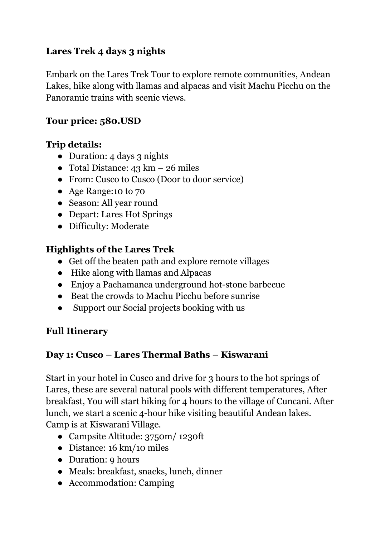### **Lares Trek 4 days 3 nights**

Embark on the Lares Trek Tour to explore remote communities, Andean Lakes, hike along with llamas and alpacas and visit Machu Picchu on the Panoramic trains with scenic views.

### **Tour price: 580.USD**

#### **Trip details:**

- Duration: 4 days 3 nights
- Total Distance:  $43 \text{ km} 26 \text{ miles}$
- From: Cusco to Cusco (Door to door service)
- Age Range:10 to 70
- Season: All year round
- Depart: Lares Hot Springs
- Difficulty: Moderate

### **Highlights of the Lares Trek**

- Get off the beaten path and explore remote villages
- Hike along with llamas and Alpacas
- Enjoy a Pachamanca underground hot-stone barbecue
- Beat the crowds to Machu Picchu before sunrise
- Support our Social projects booking with us

#### **Full Itinerary**

#### **Day 1: Cusco – Lares Thermal Baths – Kiswarani**

Start in your hotel in Cusco and drive for 3 hours to the hot springs of Lares, these are several natural pools with different temperatures, After breakfast, You will start hiking for 4 hours to the village of Cuncani. After lunch, we start a scenic 4-hour hike visiting beautiful Andean lakes. Camp is at Kiswarani Village.

- Campsite Altitude: 3750m/ 1230ft
- Distance: 16 km/10 miles
- Duration: 9 hours
- Meals: breakfast, snacks, lunch, dinner
- Accommodation: Camping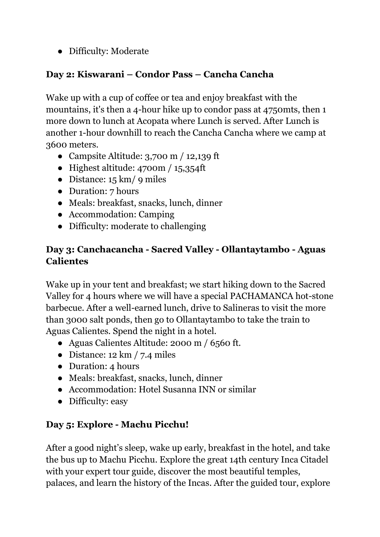● Difficulty: Moderate

### **Day 2: Kiswarani – Condor Pass – Cancha Cancha**

Wake up with a cup of coffee or tea and enjoy breakfast with the mountains, it's then a 4-hour hike up to condor pass at 4750mts, then 1 more down to lunch at Acopata where Lunch is served. After Lunch is another 1-hour downhill to reach the Cancha Cancha where we camp at 3600 meters.

- Campsite Altitude:  $3,700 \text{ m}$  / 12,139 ft
- Highest altitude:  $4700m / 15,354ft$
- Distance:  $15 \text{ km}$  / 9 miles
- Duration: 7 hours
- Meals: breakfast, snacks, lunch, dinner
- Accommodation: Camping
- Difficulty: moderate to challenging

### **Day 3: Canchacancha - Sacred Valley - Ollantaytambo - Aguas Calientes**

Wake up in your tent and breakfast; we start hiking down to the Sacred Valley for 4 hours where we will have a special PACHAMANCA hot-stone barbecue. After a well-earned lunch, drive to Salineras to visit the more than 3000 salt ponds, then go to Ollantaytambo to take the train to Aguas Calientes. Spend the night in a hotel.

- Aguas Calientes Altitude: 2000 m / 6560 ft.
- Distance:  $12 \text{ km}$  / 7.4 miles
- Duration: 4 hours
- Meals: breakfast, snacks, lunch, dinner
- Accommodation: Hotel Susanna INN or similar
- Difficulty: easy

# **Day 5: Explore - Machu Picchu!**

After a good night's sleep, wake up early, breakfast in the hotel, and take the bus up to Machu Picchu. Explore the great 14th century Inca Citadel with your expert tour guide, discover the most beautiful temples, palaces, and learn the history of the Incas. After the guided tour, explore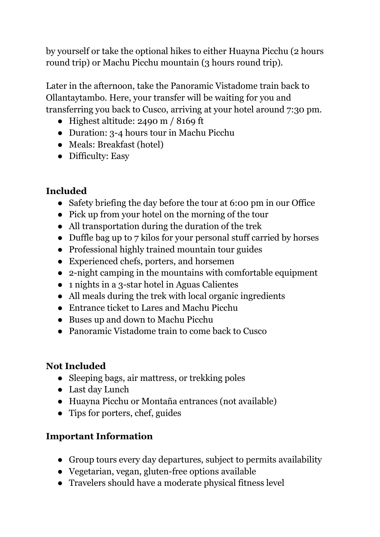by yourself or take the optional hikes to either Huayna Picchu (2 hours round trip) or Machu Picchu mountain (3 hours round trip).

Later in the afternoon, take the Panoramic Vistadome train back to Ollantaytambo. Here, your transfer will be waiting for you and transferring you back to Cusco, arriving at your hotel around 7:30 pm.

- Highest altitude: 2490 m / 8169 ft
- Duration: 3-4 hours tour in Machu Picchu
- Meals: Breakfast (hotel)
- Difficulty: Easy

# **Included**

- Safety briefing the day before the tour at 6:00 pm in our Office
- Pick up from your hotel on the morning of the tour
- All transportation during the duration of the trek
- Duffle bag up to 7 kilos for your personal stuff carried by horses
- Professional highly trained mountain tour guides
- Experienced chefs, porters, and horsemen
- 2-night camping in the mountains with comfortable equipment
- 1 nights in a 3-star hotel in Aguas Calientes
- All meals during the trek with local organic ingredients
- Entrance ticket to Lares and Machu Picchu
- Buses up and down to Machu Picchu
- Panoramic Vistadome train to come back to Cusco

# **Not Included**

- Sleeping bags, air mattress, or trekking poles
- Last day Lunch
- Huayna Picchu or Montaña entrances (not available)
- Tips for porters, chef, guides

# **Important Information**

- Group tours every day departures, subject to permits availability
- Vegetarian, vegan, gluten-free options available
- Travelers should have a moderate physical fitness level